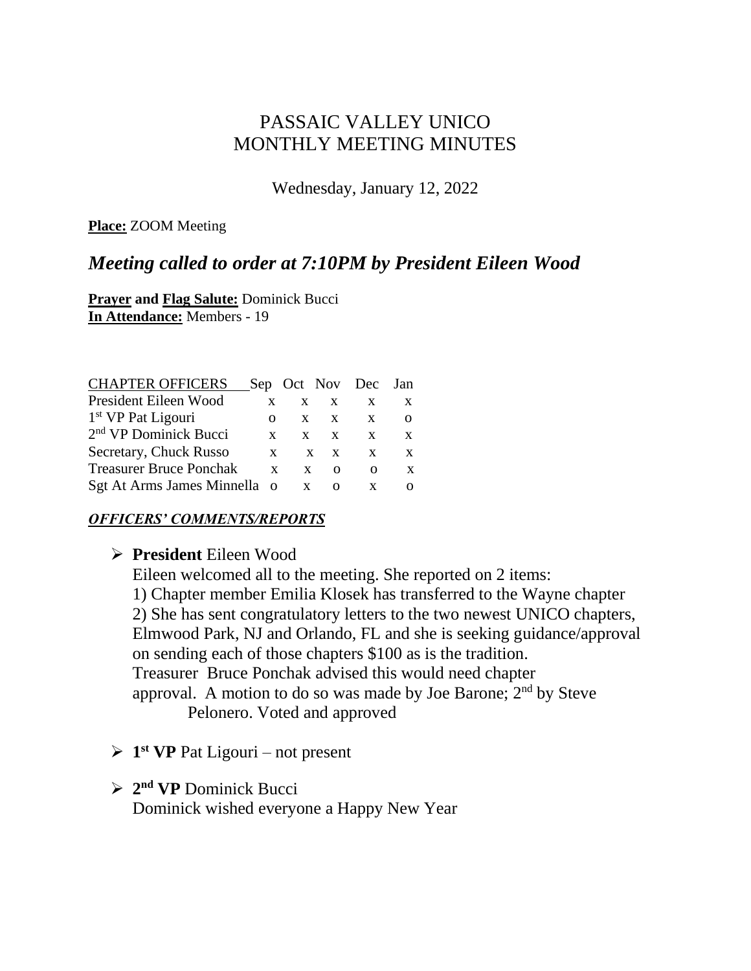# PASSAIC VALLEY UNICO MONTHLY MEETING MINUTES

Wednesday, January 12, 2022

**Place:** ZOOM Meeting

# *Meeting called to order at 7:10PM by President Eileen Wood*

**Prayer and Flag Salute:** Dominick Bucci **In Attendance:** Members - 19

| <b>CHAPTER OFFICERS</b>           |   |   |          | Sep Oct Nov Dec Jan |   |
|-----------------------------------|---|---|----------|---------------------|---|
| President Eileen Wood             | X | X | X        | X                   | X |
| 1 <sup>st</sup> VP Pat Ligouri    | Ω | X | X        | X                   |   |
| 2 <sup>nd</sup> VP Dominick Bucci | X | X | X        | X                   | X |
| Secretary, Chuck Russo            | X |   | X<br>X   | X                   | X |
| <b>Treasurer Bruce Ponchak</b>    | X | X | $\Omega$ | Ω                   | X |
| Sgt At Arms James Minnella o      |   |   | Ω        |                     |   |

#### *OFFICERS' COMMENTS/REPORTS*

### ➢ **President** Eileen Wood

Eileen welcomed all to the meeting. She reported on 2 items: 1) Chapter member Emilia Klosek has transferred to the Wayne chapter 2) She has sent congratulatory letters to the two newest UNICO chapters, Elmwood Park, NJ and Orlando, FL and she is seeking guidance/approval on sending each of those chapters \$100 as is the tradition. Treasurer Bruce Ponchak advised this would need chapter approval. A motion to do so was made by Joe Barone;  $2<sup>nd</sup>$  by Steve Pelonero. Voted and approved

- ➢ **1 st VP** Pat Ligouri not present
- ➢ **2 nd VP** Dominick Bucci

Dominick wished everyone a Happy New Year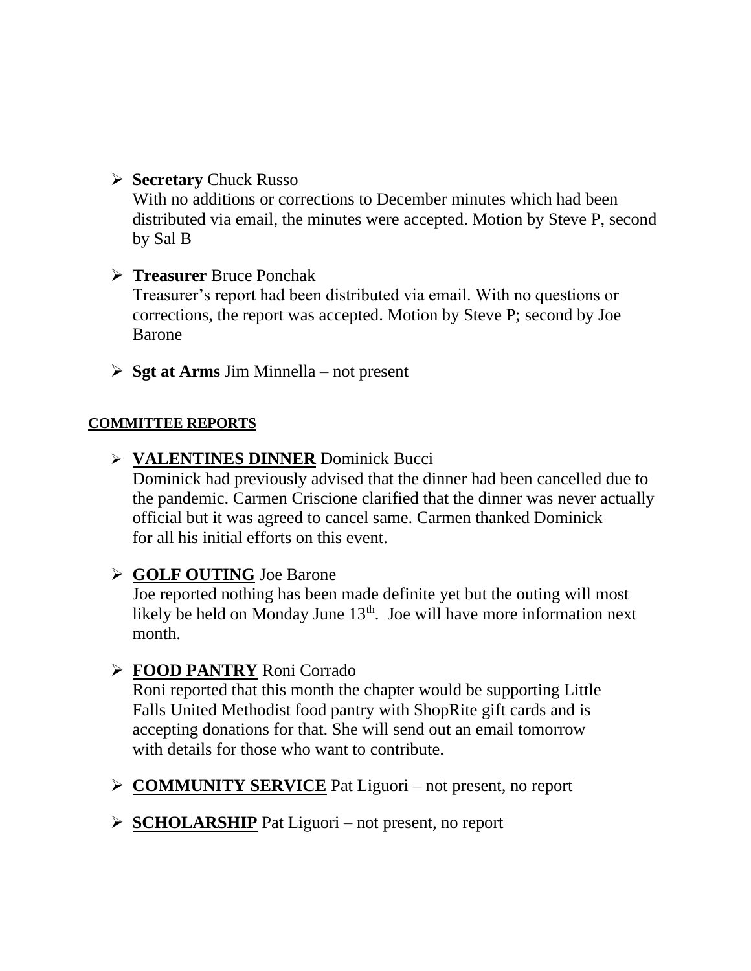➢ **Secretary** Chuck Russo

With no additions or corrections to December minutes which had been distributed via email, the minutes were accepted. Motion by Steve P, second by Sal B

- ➢ **Treasurer** Bruce Ponchak Treasurer's report had been distributed via email. With no questions or corrections, the report was accepted. Motion by Steve P; second by Joe Barone
- ➢ **Sgt at Arms** Jim Minnella not present

### **COMMITTEE REPORTS**

➢ **VALENTINES DINNER** Dominick Bucci

Dominick had previously advised that the dinner had been cancelled due to the pandemic. Carmen Criscione clarified that the dinner was never actually official but it was agreed to cancel same. Carmen thanked Dominick for all his initial efforts on this event.

### ➢ **GOLF OUTING** Joe Barone

Joe reported nothing has been made definite yet but the outing will most likely be held on Monday June  $13<sup>th</sup>$ . Joe will have more information next month.

## ➢ **FOOD PANTRY** Roni Corrado

Roni reported that this month the chapter would be supporting Little Falls United Methodist food pantry with ShopRite gift cards and is accepting donations for that. She will send out an email tomorrow with details for those who want to contribute.

- ➢ **COMMUNITY SERVICE** Pat Liguori not present, no report
- ➢ **SCHOLARSHIP** Pat Liguori not present, no report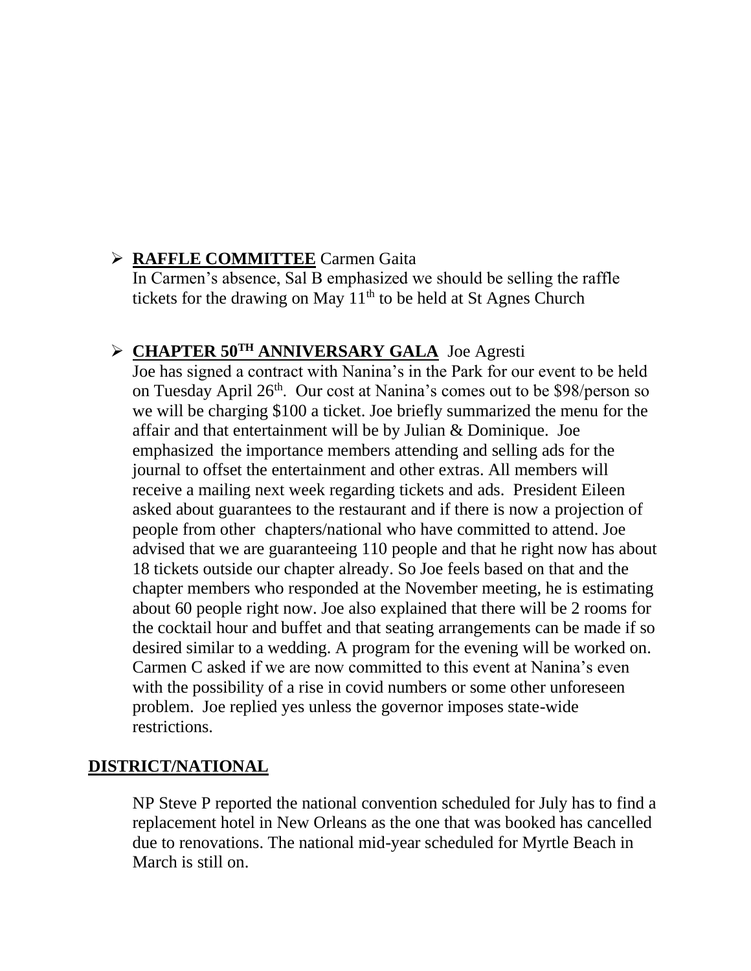# ➢ **RAFFLE COMMITTEE** Carmen Gaita

In Carmen's absence, Sal B emphasized we should be selling the raffle tickets for the drawing on May  $11<sup>th</sup>$  to be held at St Agnes Church

# ➢ **CHAPTER 50TH ANNIVERSARY GALA** Joe Agresti

Joe has signed a contract with Nanina's in the Park for our event to be held on Tuesday April 26<sup>th</sup>. Our cost at Nanina's comes out to be \$98/person so we will be charging \$100 a ticket. Joe briefly summarized the menu for the affair and that entertainment will be by Julian & Dominique. Joe emphasized the importance members attending and selling ads for the journal to offset the entertainment and other extras. All members will receive a mailing next week regarding tickets and ads. President Eileen asked about guarantees to the restaurant and if there is now a projection of people from other chapters/national who have committed to attend. Joe advised that we are guaranteeing 110 people and that he right now has about 18 tickets outside our chapter already. So Joe feels based on that and the chapter members who responded at the November meeting, he is estimating about 60 people right now. Joe also explained that there will be 2 rooms for the cocktail hour and buffet and that seating arrangements can be made if so desired similar to a wedding. A program for the evening will be worked on. Carmen C asked if we are now committed to this event at Nanina's even with the possibility of a rise in covid numbers or some other unforeseen problem. Joe replied yes unless the governor imposes state-wide restrictions.

## **DISTRICT/NATIONAL**

NP Steve P reported the national convention scheduled for July has to find a replacement hotel in New Orleans as the one that was booked has cancelled due to renovations. The national mid-year scheduled for Myrtle Beach in March is still on.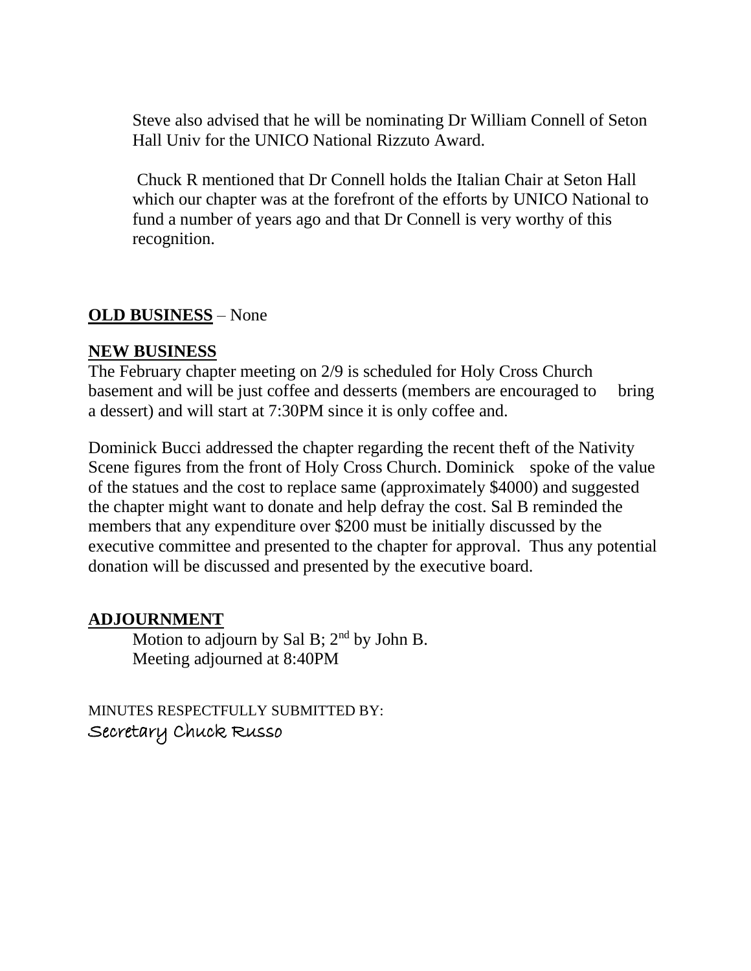Steve also advised that he will be nominating Dr William Connell of Seton Hall Univ for the UNICO National Rizzuto Award.

Chuck R mentioned that Dr Connell holds the Italian Chair at Seton Hall which our chapter was at the forefront of the efforts by UNICO National to fund a number of years ago and that Dr Connell is very worthy of this recognition.

## **OLD BUSINESS** – None

### **NEW BUSINESS**

The February chapter meeting on 2/9 is scheduled for Holy Cross Church basement and will be just coffee and desserts (members are encouraged to bring a dessert) and will start at 7:30PM since it is only coffee and.

Dominick Bucci addressed the chapter regarding the recent theft of the Nativity Scene figures from the front of Holy Cross Church. Dominick spoke of the value of the statues and the cost to replace same (approximately \$4000) and suggested the chapter might want to donate and help defray the cost. Sal B reminded the members that any expenditure over \$200 must be initially discussed by the executive committee and presented to the chapter for approval. Thus any potential donation will be discussed and presented by the executive board.

### **ADJOURNMENT**

Motion to adjourn by Sal B;  $2<sup>nd</sup>$  by John B. Meeting adjourned at 8:40PM

MINUTES RESPECTFULLY SUBMITTED BY: Secretary Chuck Russo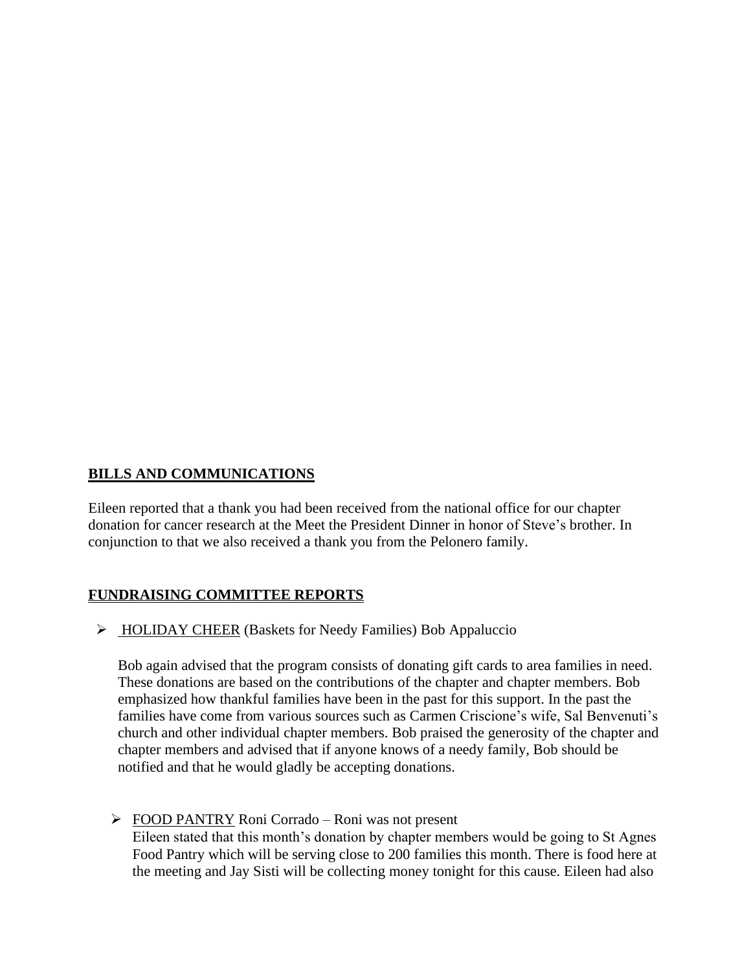#### **BILLS AND COMMUNICATIONS**

Eileen reported that a thank you had been received from the national office for our chapter donation for cancer research at the Meet the President Dinner in honor of Steve's brother. In conjunction to that we also received a thank you from the Pelonero family.

#### **FUNDRAISING COMMITTEE REPORTS**

➢ HOLIDAY CHEER (Baskets for Needy Families) Bob Appaluccio

Bob again advised that the program consists of donating gift cards to area families in need. These donations are based on the contributions of the chapter and chapter members. Bob emphasized how thankful families have been in the past for this support. In the past the families have come from various sources such as Carmen Criscione's wife, Sal Benvenuti's church and other individual chapter members. Bob praised the generosity of the chapter and chapter members and advised that if anyone knows of a needy family, Bob should be notified and that he would gladly be accepting donations.

➢ FOOD PANTRY Roni Corrado – Roni was not present Eileen stated that this month's donation by chapter members would be going to St Agnes Food Pantry which will be serving close to 200 families this month. There is food here at the meeting and Jay Sisti will be collecting money tonight for this cause. Eileen had also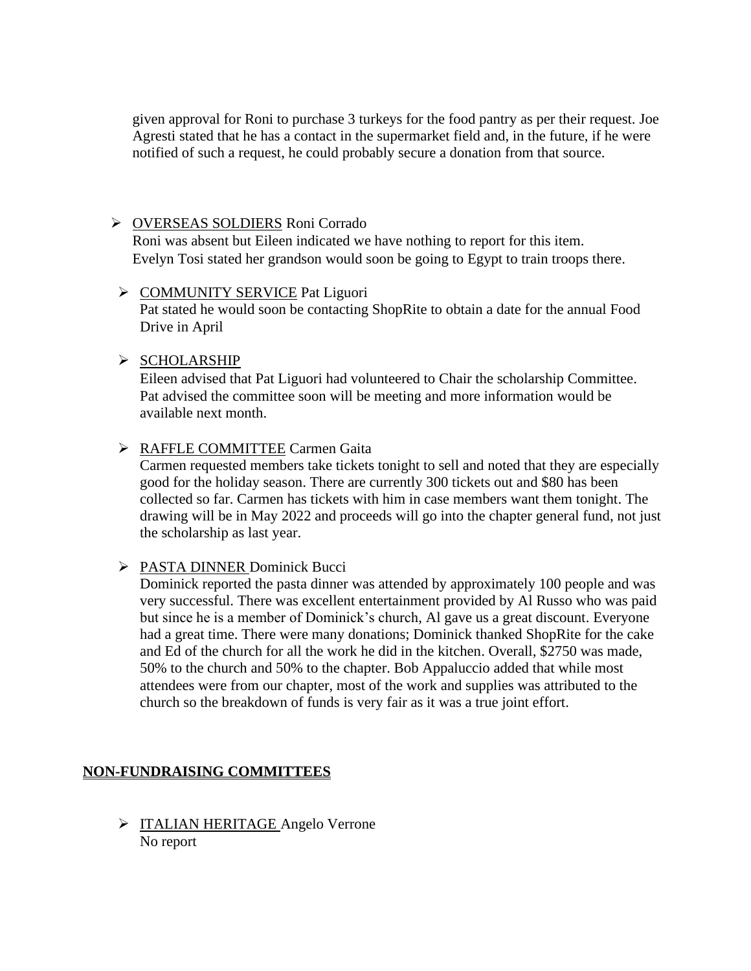given approval for Roni to purchase 3 turkeys for the food pantry as per their request. Joe Agresti stated that he has a contact in the supermarket field and, in the future, if he were notified of such a request, he could probably secure a donation from that source.

#### ➢ OVERSEAS SOLDIERS Roni Corrado

Roni was absent but Eileen indicated we have nothing to report for this item. Evelyn Tosi stated her grandson would soon be going to Egypt to train troops there.

#### ➢ COMMUNITY SERVICE Pat Liguori

 Pat stated he would soon be contacting ShopRite to obtain a date for the annual Food Drive in April

#### ➢ SCHOLARSHIP

Eileen advised that Pat Liguori had volunteered to Chair the scholarship Committee. Pat advised the committee soon will be meeting and more information would be available next month.

#### ➢ RAFFLE COMMITTEE Carmen Gaita

Carmen requested members take tickets tonight to sell and noted that they are especially good for the holiday season. There are currently 300 tickets out and \$80 has been collected so far. Carmen has tickets with him in case members want them tonight. The drawing will be in May 2022 and proceeds will go into the chapter general fund, not just the scholarship as last year.

#### ➢ PASTA DINNER Dominick Bucci

Dominick reported the pasta dinner was attended by approximately 100 people and was very successful. There was excellent entertainment provided by Al Russo who was paid but since he is a member of Dominick's church, Al gave us a great discount. Everyone had a great time. There were many donations; Dominick thanked ShopRite for the cake and Ed of the church for all the work he did in the kitchen. Overall, \$2750 was made, 50% to the church and 50% to the chapter. Bob Appaluccio added that while most attendees were from our chapter, most of the work and supplies was attributed to the church so the breakdown of funds is very fair as it was a true joint effort.

#### **NON-FUNDRAISING COMMITTEES**

➢ ITALIAN HERITAGE Angelo Verrone No report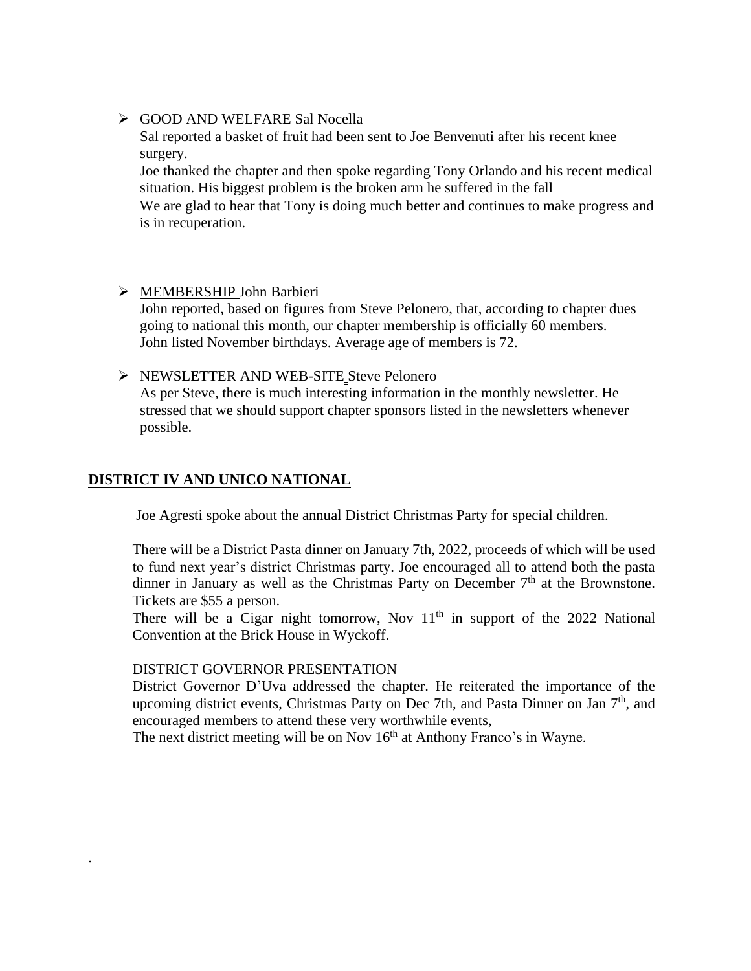#### ➢ GOOD AND WELFARE Sal Nocella

Sal reported a basket of fruit had been sent to Joe Benvenuti after his recent knee surgery.

Joe thanked the chapter and then spoke regarding Tony Orlando and his recent medical situation. His biggest problem is the broken arm he suffered in the fall We are glad to hear that Tony is doing much better and continues to make progress and is in recuperation.

➢ MEMBERSHIP John Barbieri John reported, based on figures from Steve Pelonero, that, according to chapter dues going to national this month, our chapter membership is officially 60 members. John listed November birthdays. Average age of members is 72.

#### ➢ NEWSLETTER AND WEB-SITE Steve Pelonero

As per Steve, there is much interesting information in the monthly newsletter. He stressed that we should support chapter sponsors listed in the newsletters whenever possible.

#### **DISTRICT IV AND UNICO NATIONAL**

.

Joe Agresti spoke about the annual District Christmas Party for special children.

There will be a District Pasta dinner on January 7th, 2022, proceeds of which will be used to fund next year's district Christmas party. Joe encouraged all to attend both the pasta dinner in January as well as the Christmas Party on December  $7<sup>th</sup>$  at the Brownstone. Tickets are \$55 a person.

There will be a Cigar night tomorrow, Nov  $11<sup>th</sup>$  in support of the 2022 National Convention at the Brick House in Wyckoff.

#### DISTRICT GOVERNOR PRESENTATION

District Governor D'Uva addressed the chapter. He reiterated the importance of the upcoming district events, Christmas Party on Dec 7th, and Pasta Dinner on Jan  $7<sup>th</sup>$ , and encouraged members to attend these very worthwhile events,

The next district meeting will be on Nov 16<sup>th</sup> at Anthony Franco's in Wayne.